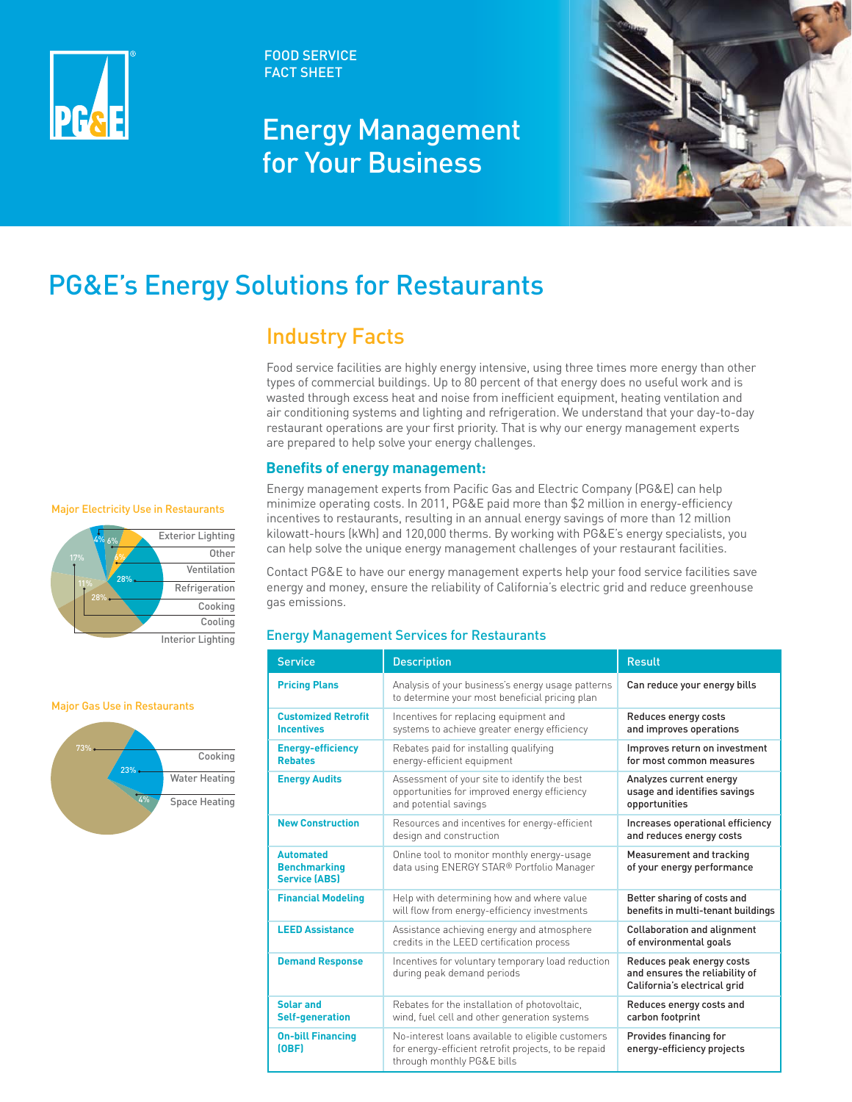

FOOD SERVICE FACT SHEET

# Energy Management for Your Business



# PG&E's Energy Solutions for Restaurants

## Industry Facts

Food service facilities are highly energy intensive, using three times more energy than other types of commercial buildings. Up to 80 percent of that energy does no useful work and is wasted through excess heat and noise from inefficient equipment, heating ventilation and air conditioning systems and lighting and refrigeration. We understand that your day-to-day restaurant operations are your first priority. That is why our energy management experts are prepared to help solve your energy challenges.

### **Benefits of energy management:**



Major Gas Use in Restaurants



Energy management experts from Pacific Gas and Electric Company (PG&E) can help minimize operating costs. In 2011, PG&E paid more than \$2 million in energy-efficiency matriciancy matriciped<br>incentives to restaurants, resulting in an annual energy savings of more than 12 million Exterior Lighting builowatt-hours (kWh) and 120,000 therms. By working with PG&E's energy specialists, you can help solve the unique energy management challenges of your restaurant facilities.

> Ventilation Contact PG&E to have our energy management experts help your food service facilities save Refrigeration energy and money, ensure the reliability of California's electric grid and reduce greenhouse gas emissions.

### Energy Management Services for Restaurants

| <b>Service</b>                                                  | <b>Description</b>                                                                                                                      | <b>Result</b>                                                                               |
|-----------------------------------------------------------------|-----------------------------------------------------------------------------------------------------------------------------------------|---------------------------------------------------------------------------------------------|
| <b>Pricing Plans</b>                                            | Analysis of your business's energy usage patterns<br>to determine your most beneficial pricing plan                                     | Can reduce your energy bills                                                                |
| <b>Customized Retrofit</b><br><b>Incentives</b>                 | Incentives for replacing equipment and<br>systems to achieve greater energy efficiency                                                  | Reduces energy costs<br>and improves operations                                             |
| <b>Energy-efficiency</b><br><b>Rebates</b>                      | Rebates paid for installing qualifying<br>energy-efficient equipment                                                                    | Improves return on investment<br>for most common measures                                   |
| <b>Energy Audits</b>                                            | Assessment of your site to identify the best<br>opportunities for improved energy efficiency<br>and potential savings                   | Analyzes current energy<br>usage and identifies savings<br>opportunities                    |
| <b>New Construction</b>                                         | Resources and incentives for energy-efficient<br>design and construction                                                                | Increases operational efficiency<br>and reduces energy costs                                |
| <b>Automated</b><br><b>Benchmarking</b><br><b>Service (ABS)</b> | Online tool to monitor monthly energy-usage<br>data using ENERGY STAR® Portfolio Manager                                                | Measurement and tracking<br>of your energy performance                                      |
| <b>Financial Modeling</b>                                       | Help with determining how and where value<br>will flow from energy-efficiency investments                                               | Better sharing of costs and<br>benefits in multi-tenant buildings                           |
| <b>LEED Assistance</b>                                          | Assistance achieving energy and atmosphere<br>credits in the LEED certification process                                                 | <b>Collaboration and alignment</b><br>of environmental goals                                |
| <b>Demand Response</b>                                          | Incentives for voluntary temporary load reduction<br>during peak demand periods                                                         | Reduces peak energy costs<br>and ensures the reliability of<br>California's electrical grid |
| Solar and<br><b>Self-generation</b>                             | Rebates for the installation of photovoltaic,<br>wind, fuel cell and other generation systems                                           | Reduces energy costs and<br>carbon footprint                                                |
| <b>On-bill Financing</b><br>[OBF]                               | No-interest loans available to eligible customers<br>for energy-efficient retrofit projects, to be repaid<br>through monthly PG&E bills | Provides financing for<br>energy-efficiency projects                                        |